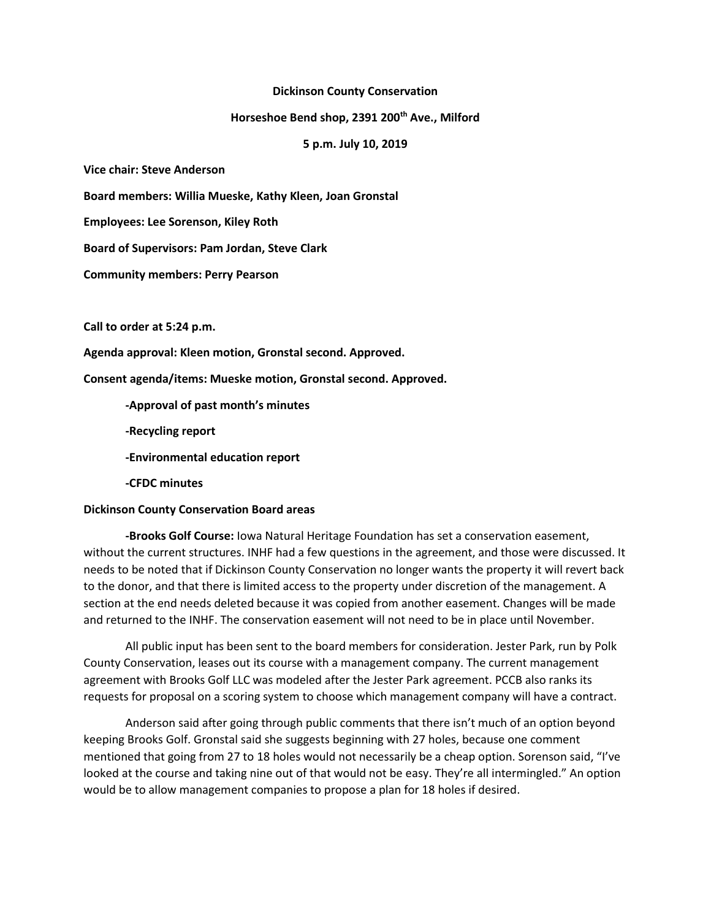## **Dickinson County Conservation**

## **Horseshoe Bend shop, 2391 200th Ave., Milford**

**5 p.m. July 10, 2019**

**Vice chair: Steve Anderson**

**Board members: Willia Mueske, Kathy Kleen, Joan Gronstal**

**Employees: Lee Sorenson, Kiley Roth**

**Board of Supervisors: Pam Jordan, Steve Clark**

**Community members: Perry Pearson**

**Call to order at 5:24 p.m.**

**Agenda approval: Kleen motion, Gronstal second. Approved.**

**Consent agenda/items: Mueske motion, Gronstal second. Approved.**

**-Approval of past month's minutes**

**-Recycling report**

**-Environmental education report**

**-CFDC minutes**

## **Dickinson County Conservation Board areas**

**-Brooks Golf Course:** Iowa Natural Heritage Foundation has set a conservation easement, without the current structures. INHF had a few questions in the agreement, and those were discussed. It needs to be noted that if Dickinson County Conservation no longer wants the property it will revert back to the donor, and that there is limited access to the property under discretion of the management. A section at the end needs deleted because it was copied from another easement. Changes will be made and returned to the INHF. The conservation easement will not need to be in place until November.

All public input has been sent to the board members for consideration. Jester Park, run by Polk County Conservation, leases out its course with a management company. The current management agreement with Brooks Golf LLC was modeled after the Jester Park agreement. PCCB also ranks its requests for proposal on a scoring system to choose which management company will have a contract.

Anderson said after going through public comments that there isn't much of an option beyond keeping Brooks Golf. Gronstal said she suggests beginning with 27 holes, because one comment mentioned that going from 27 to 18 holes would not necessarily be a cheap option. Sorenson said, "I've looked at the course and taking nine out of that would not be easy. They're all intermingled." An option would be to allow management companies to propose a plan for 18 holes if desired.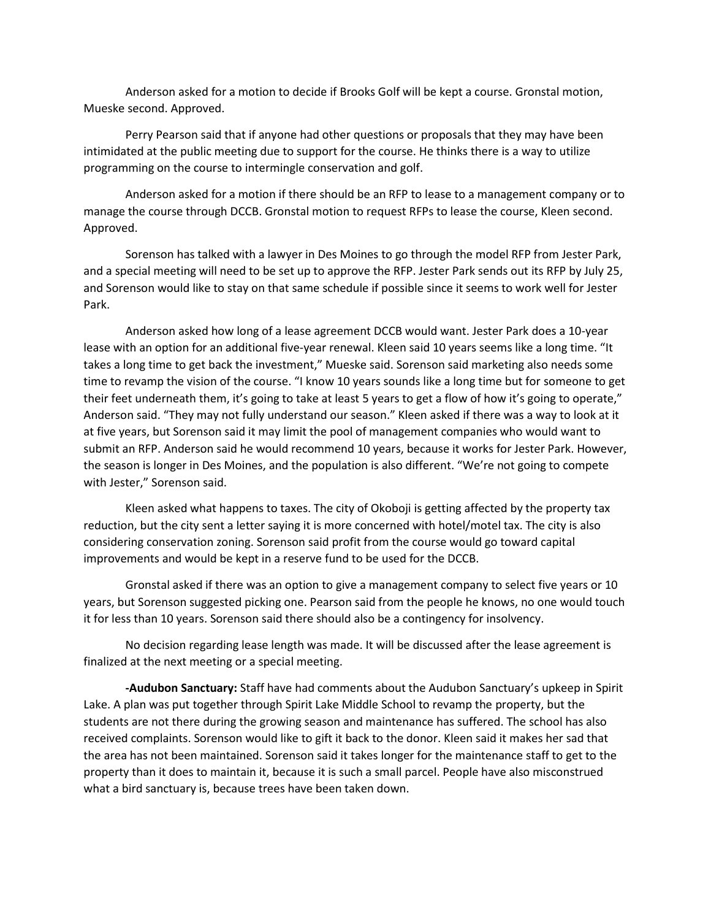Anderson asked for a motion to decide if Brooks Golf will be kept a course. Gronstal motion, Mueske second. Approved.

Perry Pearson said that if anyone had other questions or proposals that they may have been intimidated at the public meeting due to support for the course. He thinks there is a way to utilize programming on the course to intermingle conservation and golf.

Anderson asked for a motion if there should be an RFP to lease to a management company or to manage the course through DCCB. Gronstal motion to request RFPs to lease the course, Kleen second. Approved.

Sorenson has talked with a lawyer in Des Moines to go through the model RFP from Jester Park, and a special meeting will need to be set up to approve the RFP. Jester Park sends out its RFP by July 25, and Sorenson would like to stay on that same schedule if possible since it seems to work well for Jester Park.

Anderson asked how long of a lease agreement DCCB would want. Jester Park does a 10-year lease with an option for an additional five-year renewal. Kleen said 10 years seems like a long time. "It takes a long time to get back the investment," Mueske said. Sorenson said marketing also needs some time to revamp the vision of the course. "I know 10 years sounds like a long time but for someone to get their feet underneath them, it's going to take at least 5 years to get a flow of how it's going to operate," Anderson said. "They may not fully understand our season." Kleen asked if there was a way to look at it at five years, but Sorenson said it may limit the pool of management companies who would want to submit an RFP. Anderson said he would recommend 10 years, because it works for Jester Park. However, the season is longer in Des Moines, and the population is also different. "We're not going to compete with Jester," Sorenson said.

Kleen asked what happens to taxes. The city of Okoboji is getting affected by the property tax reduction, but the city sent a letter saying it is more concerned with hotel/motel tax. The city is also considering conservation zoning. Sorenson said profit from the course would go toward capital improvements and would be kept in a reserve fund to be used for the DCCB.

Gronstal asked if there was an option to give a management company to select five years or 10 years, but Sorenson suggested picking one. Pearson said from the people he knows, no one would touch it for less than 10 years. Sorenson said there should also be a contingency for insolvency.

No decision regarding lease length was made. It will be discussed after the lease agreement is finalized at the next meeting or a special meeting.

**-Audubon Sanctuary:** Staff have had comments about the Audubon Sanctuary's upkeep in Spirit Lake. A plan was put together through Spirit Lake Middle School to revamp the property, but the students are not there during the growing season and maintenance has suffered. The school has also received complaints. Sorenson would like to gift it back to the donor. Kleen said it makes her sad that the area has not been maintained. Sorenson said it takes longer for the maintenance staff to get to the property than it does to maintain it, because it is such a small parcel. People have also misconstrued what a bird sanctuary is, because trees have been taken down.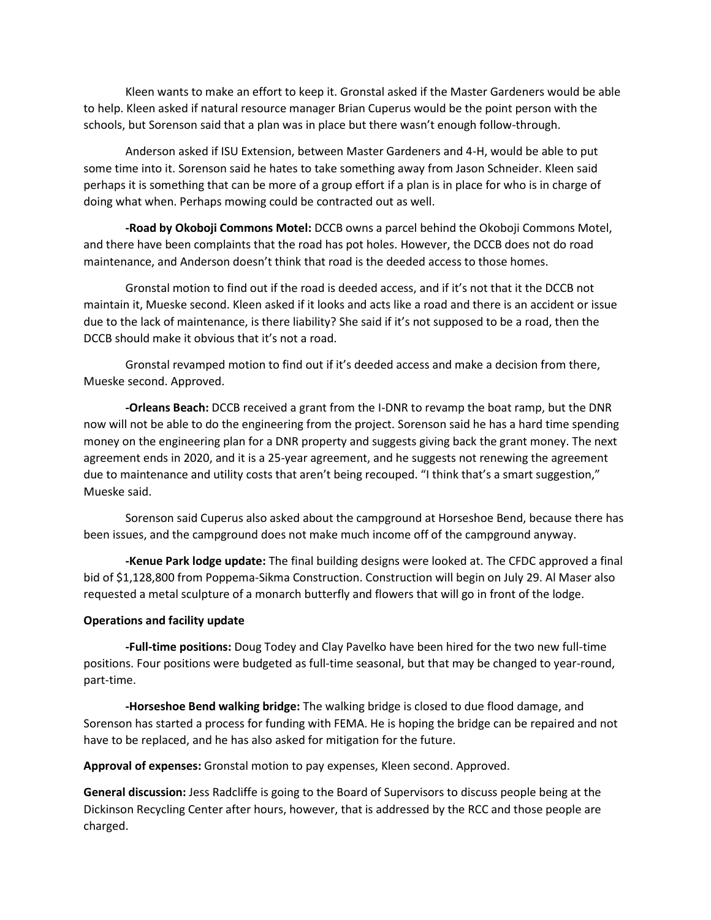Kleen wants to make an effort to keep it. Gronstal asked if the Master Gardeners would be able to help. Kleen asked if natural resource manager Brian Cuperus would be the point person with the schools, but Sorenson said that a plan was in place but there wasn't enough follow-through.

Anderson asked if ISU Extension, between Master Gardeners and 4-H, would be able to put some time into it. Sorenson said he hates to take something away from Jason Schneider. Kleen said perhaps it is something that can be more of a group effort if a plan is in place for who is in charge of doing what when. Perhaps mowing could be contracted out as well.

**-Road by Okoboji Commons Motel:** DCCB owns a parcel behind the Okoboji Commons Motel, and there have been complaints that the road has pot holes. However, the DCCB does not do road maintenance, and Anderson doesn't think that road is the deeded access to those homes.

Gronstal motion to find out if the road is deeded access, and if it's not that it the DCCB not maintain it, Mueske second. Kleen asked if it looks and acts like a road and there is an accident or issue due to the lack of maintenance, is there liability? She said if it's not supposed to be a road, then the DCCB should make it obvious that it's not a road.

Gronstal revamped motion to find out if it's deeded access and make a decision from there, Mueske second. Approved.

**-Orleans Beach:** DCCB received a grant from the I-DNR to revamp the boat ramp, but the DNR now will not be able to do the engineering from the project. Sorenson said he has a hard time spending money on the engineering plan for a DNR property and suggests giving back the grant money. The next agreement ends in 2020, and it is a 25-year agreement, and he suggests not renewing the agreement due to maintenance and utility costs that aren't being recouped. "I think that's a smart suggestion," Mueske said.

Sorenson said Cuperus also asked about the campground at Horseshoe Bend, because there has been issues, and the campground does not make much income off of the campground anyway.

**-Kenue Park lodge update:** The final building designs were looked at. The CFDC approved a final bid of \$1,128,800 from Poppema-Sikma Construction. Construction will begin on July 29. Al Maser also requested a metal sculpture of a monarch butterfly and flowers that will go in front of the lodge.

## **Operations and facility update**

**-Full-time positions:** Doug Todey and Clay Pavelko have been hired for the two new full-time positions. Four positions were budgeted as full-time seasonal, but that may be changed to year-round, part-time.

**-Horseshoe Bend walking bridge:** The walking bridge is closed to due flood damage, and Sorenson has started a process for funding with FEMA. He is hoping the bridge can be repaired and not have to be replaced, and he has also asked for mitigation for the future.

**Approval of expenses:** Gronstal motion to pay expenses, Kleen second. Approved.

**General discussion:** Jess Radcliffe is going to the Board of Supervisors to discuss people being at the Dickinson Recycling Center after hours, however, that is addressed by the RCC and those people are charged.